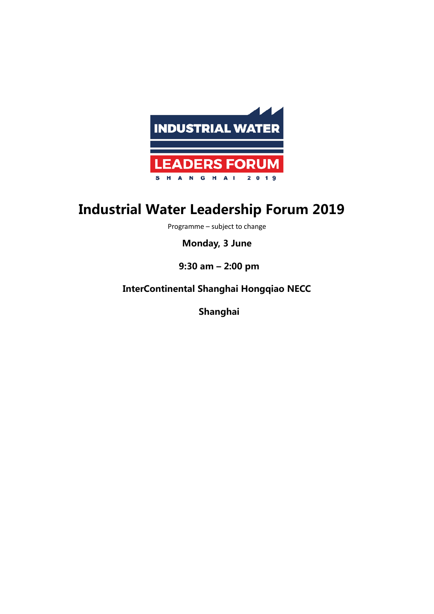

## **Industrial Water Leadership Forum 2019**

Programme – subject to change

**Monday, 3 June**

**9:30 am – 2:00 pm** 

**InterContinental Shanghai Hongqiao NECC**

**Shanghai**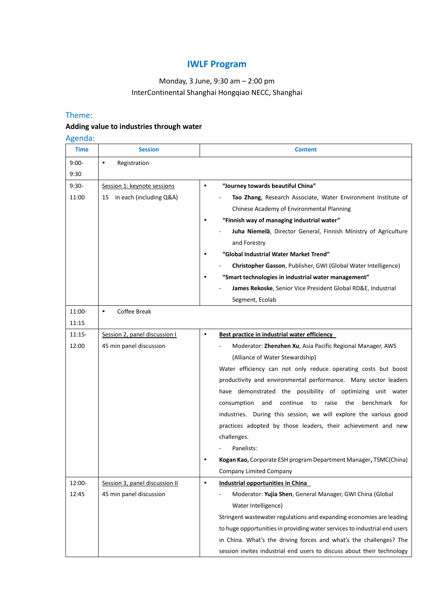## **IWLF Program**

## Monday, 3 June, 9:30 am – 2:00 pm InterContinental Shanghai Hongqiao NECC, Shanghai

#### Theme:

## **Adding value to industries through water**

#### Agenda:

| <b>Time</b> | <b>Session</b>                 | <b>Content</b>                                                            |
|-------------|--------------------------------|---------------------------------------------------------------------------|
| $9:00-$     | Registration<br>$\bullet$      |                                                                           |
| 9:30        |                                |                                                                           |
| $9:30-$     | Session 1: keynote sessions    | "Journey towards beautiful China"<br>$\bullet$                            |
| 11:00       | in each (including Q&A)<br>15  | Tao Zhang, Research Associate, Water Environment Institute of             |
|             |                                | Chinese Academy of Environmental Planning                                 |
|             |                                | "Finnish way of managing industrial water"<br>٠                           |
|             |                                | Juha Niemelä, Director General, Finnish Ministry of Agriculture           |
|             |                                | and Forestry                                                              |
|             |                                | "Global Industrial Water Market Trend"                                    |
|             |                                | Christopher Gasson, Publisher, GWI (Global Water Intelligence)            |
|             |                                | "Smart technologies in industrial water management"                       |
|             |                                | James Rekoske, Senior Vice President Global RD&E, Industrial              |
|             |                                | Segment, Ecolab                                                           |
| 11:00-      | Coffee Break<br>$\bullet$      |                                                                           |
| 11:15       |                                |                                                                           |
| $11:15-$    | Session 2, panel discussion I  | Best practice in industrial water efficiency<br>٠                         |
| 12:00       | 45 min panel discussion        | Moderator: Zhenzhen Xu, Asia Pacific Regional Manager, AWS                |
|             |                                | (Alliance of Water Stewardship)                                           |
|             |                                | Water efficiency can not only reduce operating costs but boost            |
|             |                                | productivity and environmental performance. Many sector leaders           |
|             |                                | have demonstrated the possibility of optimizing unit water                |
|             |                                | raise<br>the<br>consumption<br>and<br>continue<br>to<br>benchmark for     |
|             |                                | industries. During this session, we will explore the various good         |
|             |                                | practices adopted by those leaders, their achievement and new             |
|             |                                | challenges.                                                               |
|             |                                | Panelists:                                                                |
|             |                                | Kogan Kao, Corporate ESH program Department Manager, TSMC(China)          |
|             |                                | Company Limited Company                                                   |
| 12:00-      | Session 3, panel discussion II | $\bullet$<br>Industrial opportunities in China                            |
| 12:45       | 45 min panel discussion        | Moderator: Yujia Shen, General Manager, GWI China (Global                 |
|             |                                | Water Intelligence)                                                       |
|             |                                | Stringent wastewater regulations and expanding economies are leading      |
|             |                                | to huge opportunities in providing water services to industrial end users |
|             |                                | in China. What's the driving forces and what's the challenges? The        |
|             |                                | session invites industrial end users to discuss about their technology    |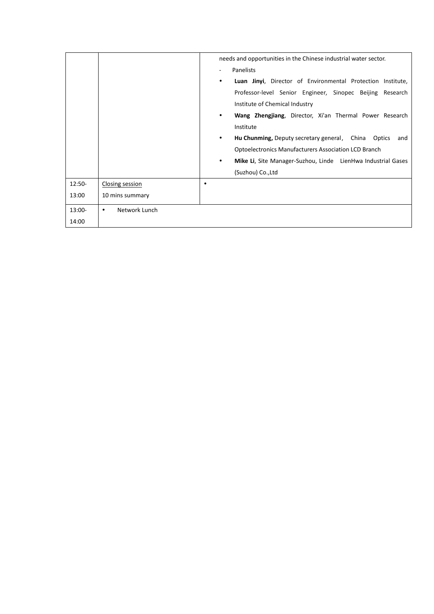|        |                    | needs and opportunities in the Chinese industrial water sector. |                                                              |
|--------|--------------------|-----------------------------------------------------------------|--------------------------------------------------------------|
|        |                    |                                                                 | Panelists                                                    |
|        |                    | $\bullet$                                                       | Luan Jinyi, Director of Environmental Protection Institute,  |
|        |                    |                                                                 | Professor-level Senior Engineer, Sinopec Beijing Research    |
|        |                    |                                                                 | Institute of Chemical Industry                               |
|        |                    | $\bullet$                                                       | Wang Zhengjiang, Director, Xi'an Thermal Power Research      |
|        |                    |                                                                 | Institute                                                    |
|        |                    | $\bullet$                                                       | Hu Chunming, Deputy secretary general, China Optics<br>and   |
|        |                    |                                                                 | <b>Optoelectronics Manufacturers Association LCD Branch</b>  |
|        |                    | $\bullet$                                                       | Mike Li, Site Manager-Suzhou, Linde LienHwa Industrial Gases |
|        |                    |                                                                 | (Suzhou) Co., Ltd                                            |
| 12:50- | Closing session    | ٠                                                               |                                                              |
| 13:00  | 10 mins summary    |                                                                 |                                                              |
| 13:00- | Network Lunch<br>٠ |                                                                 |                                                              |
| 14:00  |                    |                                                                 |                                                              |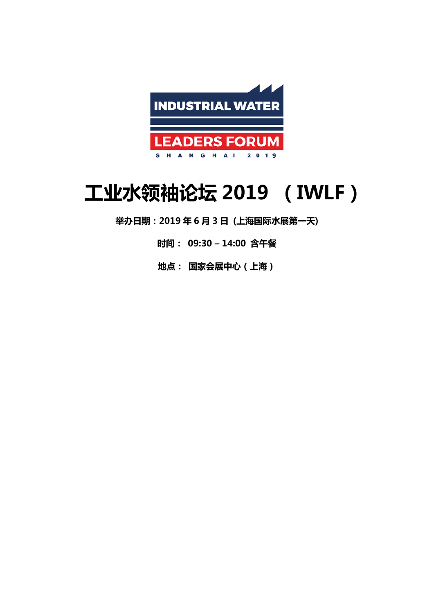

# **工业水领袖论坛 2019 (IWLF)**

**举办日期:2019 年 6 月 3 日 (上海国际水展第一天)**

**时间: 09:30 – 14:00 含午餐**

**地点: 国家会展中心(上海)**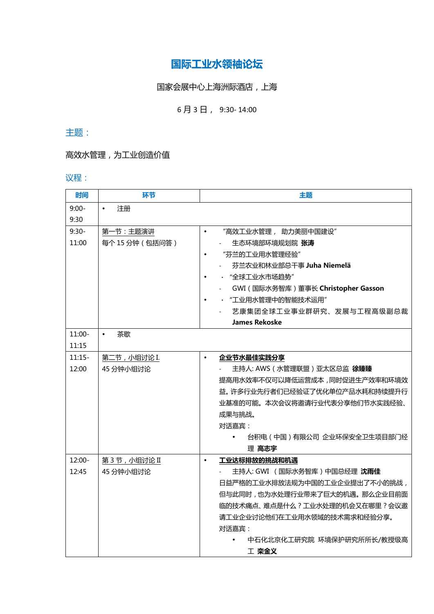## **国际工业水领袖论坛**

## 国家会展中心上海洲际酒店,上海

## 6 月 3 日, 9:30- 14:00

## 主题:

## 高效水管理,为工业创造价值

#### 议程:

| 时间       | 环节              | 主题                                     |
|----------|-----------------|----------------------------------------|
| $9:00-$  | 注册<br>$\bullet$ |                                        |
| 9:30     |                 |                                        |
| $9:30-$  | 第一节:主题演讲        | "高效工业水管理, 助力美丽中国建设"<br>$\bullet$       |
| 11:00    | 每个15分钟(包括问答)    | 生态环境部环境规划院 张涛                          |
|          |                 | "芬兰的工业用水管理经验"<br>$\bullet$             |
|          |                 | 芬兰农业和林业部总干事 Juha Niemelä               |
|          |                 | · "全球工业水市场趋势"                          |
|          |                 | GWI (国际水务智库)董事长 Christopher Gasson     |
|          |                 | · "工业用水管理中的智能技术运用"                     |
|          |                 | 艺康集团全球工业事业群研究、发展与工程高级副总裁               |
|          |                 | <b>James Rekoske</b>                   |
| $11:00-$ | 茶歇<br>$\bullet$ |                                        |
| 11:15    |                 |                                        |
| $11:15-$ | 第二节, 小组讨论 I.    | 企业节水最佳实践分享<br>$\bullet$                |
| 12:00    | 45 分钟小组讨论       | 主持人: AWS (水管理联盟) 亚太区总监 徐臻臻             |
|          |                 | 提高用水效率不仅可以降低运营成本,同时促进生产效率和环境效          |
|          |                 | 益。许多行业先行者们已经验证了优化单位产品水耗和持续提升行          |
|          |                 | 业基准的可能。本次会议将邀请行业代表分享他们节水实践经验、          |
|          |                 | 成果与挑战。                                 |
|          |                 | 对话嘉宾:                                  |
|          |                 | 台积电(中国)有限公司 企业环保安全卫生项目部门经<br>$\bullet$ |
|          |                 | 理 高志宇                                  |
| $12:00-$ | 第3节,小组讨论 II     | 工业达标排放的挑战和机遇<br>$\bullet$              |
| 12:45    | 45 分钟小组讨论       | 主持人: GWI (国际水务智库)中国总经理 沈雨佳             |
|          |                 | 日益严格的工业水排放法规为中国的工业企业提出了不小的挑战,          |
|          |                 | 但与此同时,也为水处理行业带来了巨大的机遇。那么企业目前面          |
|          |                 | 临的技术痛点、难点是什么?工业水处理的机会又在哪里?会议邀          |
|          |                 | 请工业企业讨论他们在工业用水领域的技术需求和经验分享。            |
|          |                 | 对话嘉宾:                                  |
|          |                 | 中石化北京化工研究院 环境保护研究所所长/教授级高              |
|          |                 | 工 栾金义                                  |